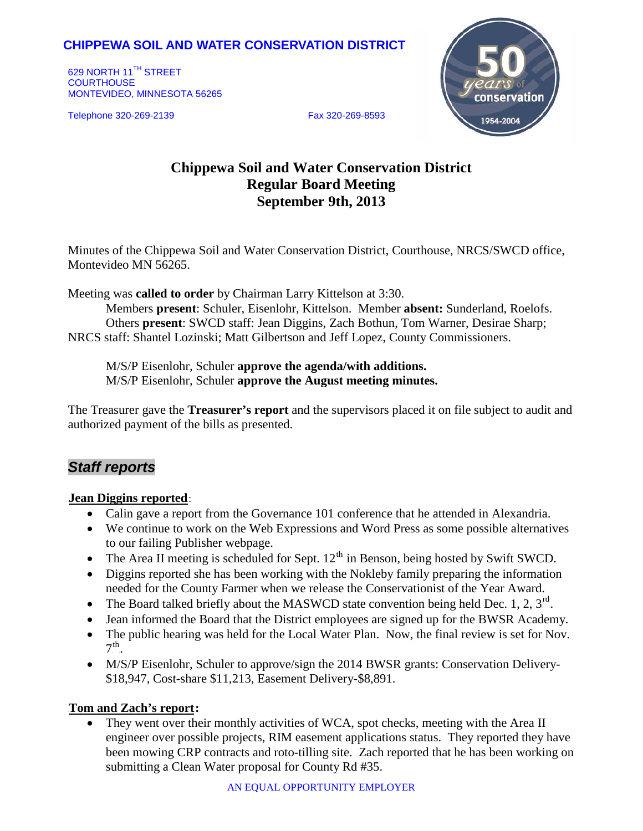# **CHIPPEWA SOIL AND WATER CONSERVATION DISTRICT**

629 NORTH 11<sup>TH</sup> STREET **COURTHOUSE** MONTEVIDEO, MINNESOTA 56265

Telephone 320-269-2139 Fax 320-269-8593



# **Chippewa Soil and Water Conservation District Regular Board Meeting September 9th, 2013**

Minutes of the Chippewa Soil and Water Conservation District, Courthouse, NRCS/SWCD office, Montevideo MN 56265.

Meeting was **called to order** by Chairman Larry Kittelson at 3:30.

Members **present**: Schuler, Eisenlohr, Kittelson. Member **absent:** Sunderland, Roelofs. Others **present**: SWCD staff: Jean Diggins, Zach Bothun, Tom Warner, Desirae Sharp; NRCS staff: Shantel Lozinski; Matt Gilbertson and Jeff Lopez, County Commissioners.

M/S/P Eisenlohr, Schuler **approve the agenda/with additions.** M/S/P Eisenlohr, Schuler **approve the August meeting minutes.**

The Treasurer gave the **Treasurer's report** and the supervisors placed it on file subject to audit and authorized payment of the bills as presented.

# *Staff reports*

### **Jean Diggins reported:**

- Calin gave a report from the Governance 101 conference that he attended in Alexandria.
- We continue to work on the Web Expressions and Word Press as some possible alternatives to our failing Publisher webpage.
- The Area II meeting is scheduled for Sept.  $12^{th}$  in Benson, being hosted by Swift SWCD.
- Diggins reported she has been working with the Nokleby family preparing the information needed for the County Farmer when we release the Conservationist of the Year Award.
- The Board talked briefly about the MASWCD state convention being held Dec. 1, 2,  $3^{\text{rd}}$ .
- Jean informed the Board that the District employees are signed up for the BWSR Academy.
- The public hearing was held for the Local Water Plan. Now, the final review is set for Nov.  $7<sup>th</sup>$ .
- M/S/P Eisenlohr, Schuler to approve/sign the 2014 BWSR grants: Conservation Delivery-\$18,947, Cost-share \$11,213, Easement Delivery-\$8,891.

## **Tom and Zach's report:**

• They went over their monthly activities of WCA, spot checks, meeting with the Area II engineer over possible projects, RIM easement applications status. They reported they have been mowing CRP contracts and roto-tilling site. Zach reported that he has been working on submitting a Clean Water proposal for County Rd #35.